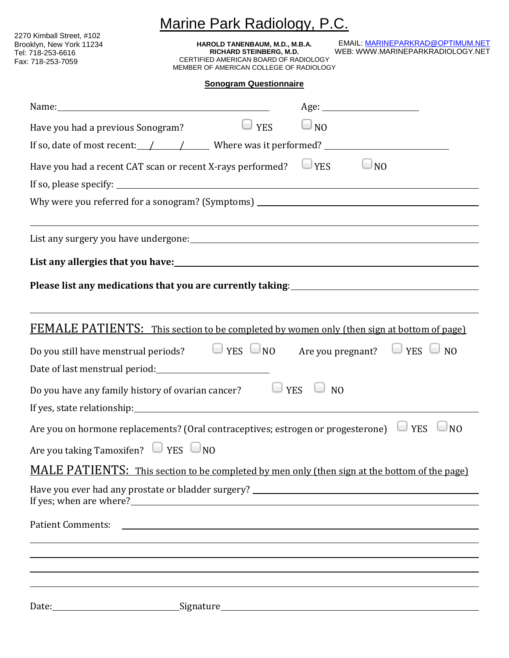| Marine Park Radiology, P.C.                                                                                                                                                                                                    |                                                                                                                                               |                 |                                                                                                                                |  |
|--------------------------------------------------------------------------------------------------------------------------------------------------------------------------------------------------------------------------------|-----------------------------------------------------------------------------------------------------------------------------------------------|-----------------|--------------------------------------------------------------------------------------------------------------------------------|--|
| 2270 Kimball Street, #102<br>Brooklyn, New York 11234<br>Tel: 718-253-6616<br>Fax: 718-253-7059                                                                                                                                | HAROLD TANENBAUM, M.D., M.B.A.<br>RICHARD STEINBERG, M.D.<br>CERTIFIED AMERICAN BOARD OF RADIOLOGY<br>MEMBER OF AMERICAN COLLEGE OF RADIOLOGY |                 | EMAIL: MARINEPARKRAD@OPTIMUM.NET<br>WEB: WWW.MARINEPARKRADIOLOGY.NET                                                           |  |
|                                                                                                                                                                                                                                | <b>Sonogram Questionnaire</b>                                                                                                                 |                 |                                                                                                                                |  |
|                                                                                                                                                                                                                                |                                                                                                                                               |                 |                                                                                                                                |  |
| Have you had a previous Sonogram?                                                                                                                                                                                              | $\Box$ YES                                                                                                                                    | $\Box_{\rm NO}$ |                                                                                                                                |  |
| If so, date of most recent: $\angle$ / Where was it performed?                                                                                                                                                                 |                                                                                                                                               |                 |                                                                                                                                |  |
| Have you had a recent CAT scan or recent X-rays performed?                                                                                                                                                                     |                                                                                                                                               | <b>YES</b>      | NO                                                                                                                             |  |
|                                                                                                                                                                                                                                |                                                                                                                                               |                 |                                                                                                                                |  |
|                                                                                                                                                                                                                                |                                                                                                                                               |                 |                                                                                                                                |  |
|                                                                                                                                                                                                                                |                                                                                                                                               |                 | ,我们也不会有什么。""我们的人,我们也不会有什么?""我们的人,我们也不会有什么?""我们的人,我们也不会有什么?""我们的人,我们也不会有什么?""我们的人                                               |  |
| List any allergies that you have: 1992. The contract of the contract of the contract of the contract of the contract of the contract of the contract of the contract of the contract of the contract of the contract of the co |                                                                                                                                               |                 |                                                                                                                                |  |
|                                                                                                                                                                                                                                |                                                                                                                                               |                 | Please list any medications that you are currently taking:<br><u>Dease list any medications that you are currently taking:</u> |  |
| Do you still have menstrual periods? $\Box$ YES $\Box$ NO Are you pregnant? $\Box$ YES $\Box$<br>Date of last menstrual period:                                                                                                |                                                                                                                                               |                 | FEMALE PATIENTS: This section to be completed by women only (then sign at bottom of page)<br>N()                               |  |
| Do you have any family history of ovarian cancer? $\Box$ YES $\Box$ NO                                                                                                                                                         |                                                                                                                                               |                 |                                                                                                                                |  |
| Are you on hormone replacements? (Oral contraceptives; estrogen or progesterone) $\Box$ YES $\Box$ NO                                                                                                                          |                                                                                                                                               |                 |                                                                                                                                |  |
| Are you taking Tamoxifen? $\Box$ YES $\Box$ NO                                                                                                                                                                                 |                                                                                                                                               |                 |                                                                                                                                |  |
|                                                                                                                                                                                                                                |                                                                                                                                               |                 | MALE PATIENTS: This section to be completed by men only (then sign at the bottom of the page)                                  |  |
|                                                                                                                                                                                                                                |                                                                                                                                               |                 |                                                                                                                                |  |
|                                                                                                                                                                                                                                |                                                                                                                                               |                 |                                                                                                                                |  |
|                                                                                                                                                                                                                                |                                                                                                                                               |                 |                                                                                                                                |  |
|                                                                                                                                                                                                                                |                                                                                                                                               |                 |                                                                                                                                |  |
|                                                                                                                                                                                                                                |                                                                                                                                               |                 |                                                                                                                                |  |
|                                                                                                                                                                                                                                |                                                                                                                                               |                 |                                                                                                                                |  |